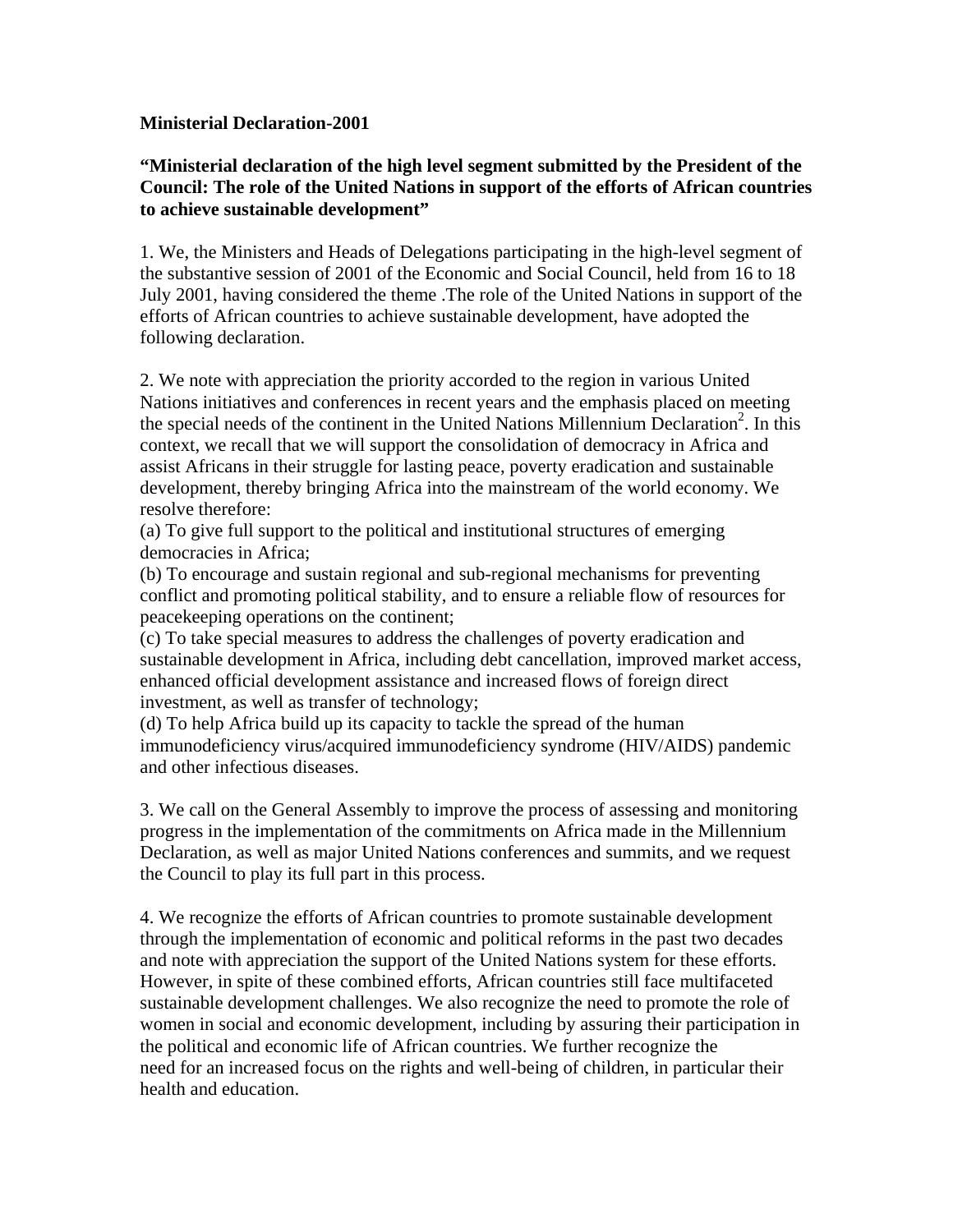### **Ministerial Declaration-2001**

## **"Ministerial declaration of the high level segment submitted by the President of the Council: The role of the United Nations in support of the efforts of African countries to achieve sustainable development"**

1. We, the Ministers and Heads of Delegations participating in the high-level segment of the substantive session of 2001 of the Economic and Social Council, held from 16 to 18 July 2001, having considered the theme .The role of the United Nations in support of the efforts of African countries to achieve sustainable development, have adopted the following declaration.

2. We note with appreciation the priority accorded to the region in various United Nations initiatives and conferences in recent years and the emphasis placed on meeting the special needs of the continent in the United Nations Millennium Declaration<sup>2</sup>. In this context, we recall that we will support the consolidation of democracy in Africa and assist Africans in their struggle for lasting peace, poverty eradication and sustainable development, thereby bringing Africa into the mainstream of the world economy. We resolve therefore:

(a) To give full support to the political and institutional structures of emerging democracies in Africa;

(b) To encourage and sustain regional and sub-regional mechanisms for preventing conflict and promoting political stability, and to ensure a reliable flow of resources for peacekeeping operations on the continent;

(c) To take special measures to address the challenges of poverty eradication and sustainable development in Africa, including debt cancellation, improved market access, enhanced official development assistance and increased flows of foreign direct investment, as well as transfer of technology;

(d) To help Africa build up its capacity to tackle the spread of the human immunodeficiency virus/acquired immunodeficiency syndrome (HIV/AIDS) pandemic and other infectious diseases.

3. We call on the General Assembly to improve the process of assessing and monitoring progress in the implementation of the commitments on Africa made in the Millennium Declaration, as well as major United Nations conferences and summits, and we request the Council to play its full part in this process.

4. We recognize the efforts of African countries to promote sustainable development through the implementation of economic and political reforms in the past two decades and note with appreciation the support of the United Nations system for these efforts. However, in spite of these combined efforts, African countries still face multifaceted sustainable development challenges. We also recognize the need to promote the role of women in social and economic development, including by assuring their participation in the political and economic life of African countries. We further recognize the need for an increased focus on the rights and well-being of children, in particular their health and education.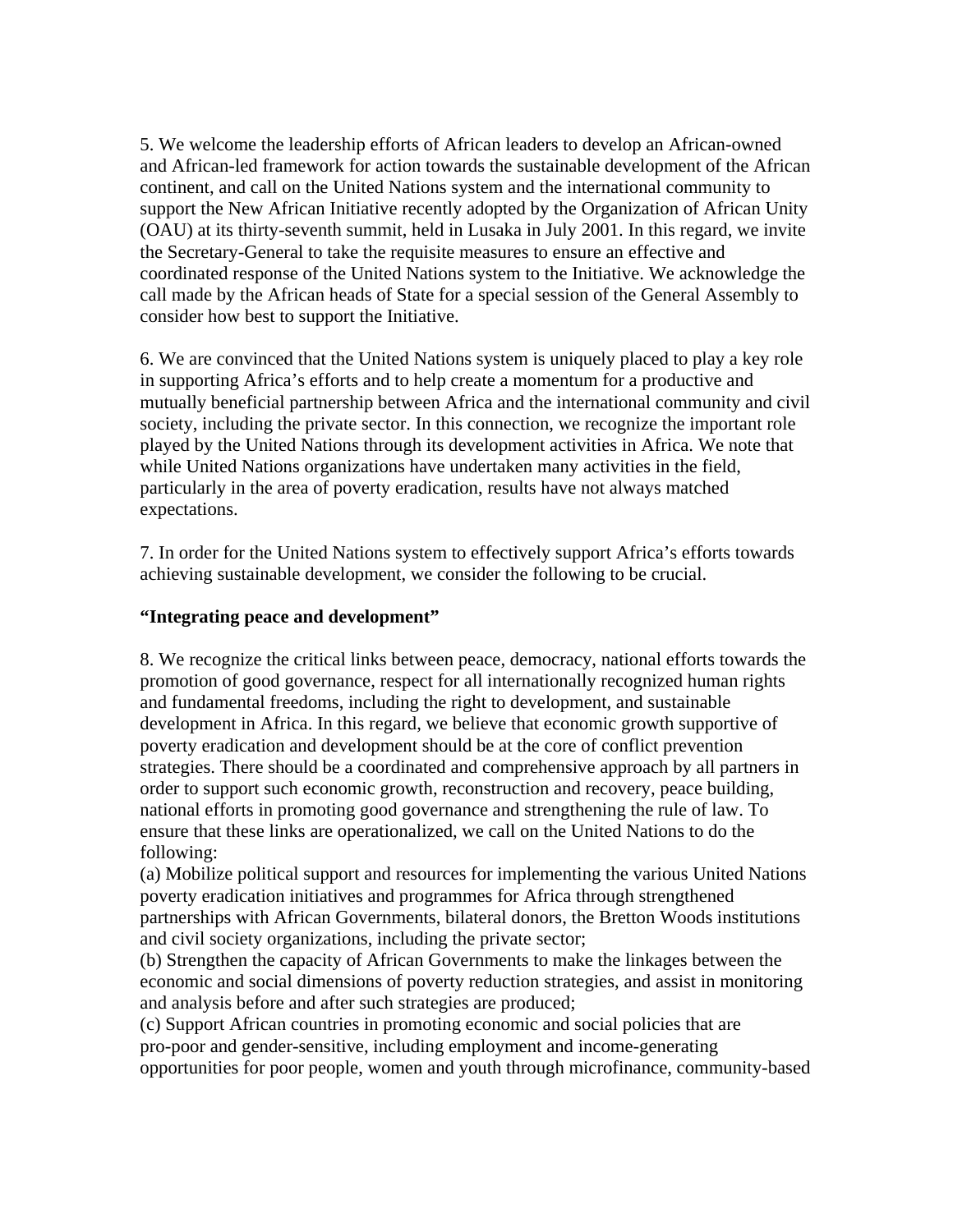5. We welcome the leadership efforts of African leaders to develop an African-owned and African-led framework for action towards the sustainable development of the African continent, and call on the United Nations system and the international community to support the New African Initiative recently adopted by the Organization of African Unity (OAU) at its thirty-seventh summit, held in Lusaka in July 2001. In this regard, we invite the Secretary-General to take the requisite measures to ensure an effective and coordinated response of the United Nations system to the Initiative. We acknowledge the call made by the African heads of State for a special session of the General Assembly to consider how best to support the Initiative.

6. We are convinced that the United Nations system is uniquely placed to play a key role in supporting Africa's efforts and to help create a momentum for a productive and mutually beneficial partnership between Africa and the international community and civil society, including the private sector. In this connection, we recognize the important role played by the United Nations through its development activities in Africa. We note that while United Nations organizations have undertaken many activities in the field, particularly in the area of poverty eradication, results have not always matched expectations.

7. In order for the United Nations system to effectively support Africa's efforts towards achieving sustainable development, we consider the following to be crucial.

## **"Integrating peace and development"**

8. We recognize the critical links between peace, democracy, national efforts towards the promotion of good governance, respect for all internationally recognized human rights and fundamental freedoms, including the right to development, and sustainable development in Africa. In this regard, we believe that economic growth supportive of poverty eradication and development should be at the core of conflict prevention strategies. There should be a coordinated and comprehensive approach by all partners in order to support such economic growth, reconstruction and recovery, peace building, national efforts in promoting good governance and strengthening the rule of law. To ensure that these links are operationalized, we call on the United Nations to do the following:

(a) Mobilize political support and resources for implementing the various United Nations poverty eradication initiatives and programmes for Africa through strengthened partnerships with African Governments, bilateral donors, the Bretton Woods institutions and civil society organizations, including the private sector;

(b) Strengthen the capacity of African Governments to make the linkages between the economic and social dimensions of poverty reduction strategies, and assist in monitoring and analysis before and after such strategies are produced;

(c) Support African countries in promoting economic and social policies that are pro-poor and gender-sensitive, including employment and income-generating opportunities for poor people, women and youth through microfinance, community-based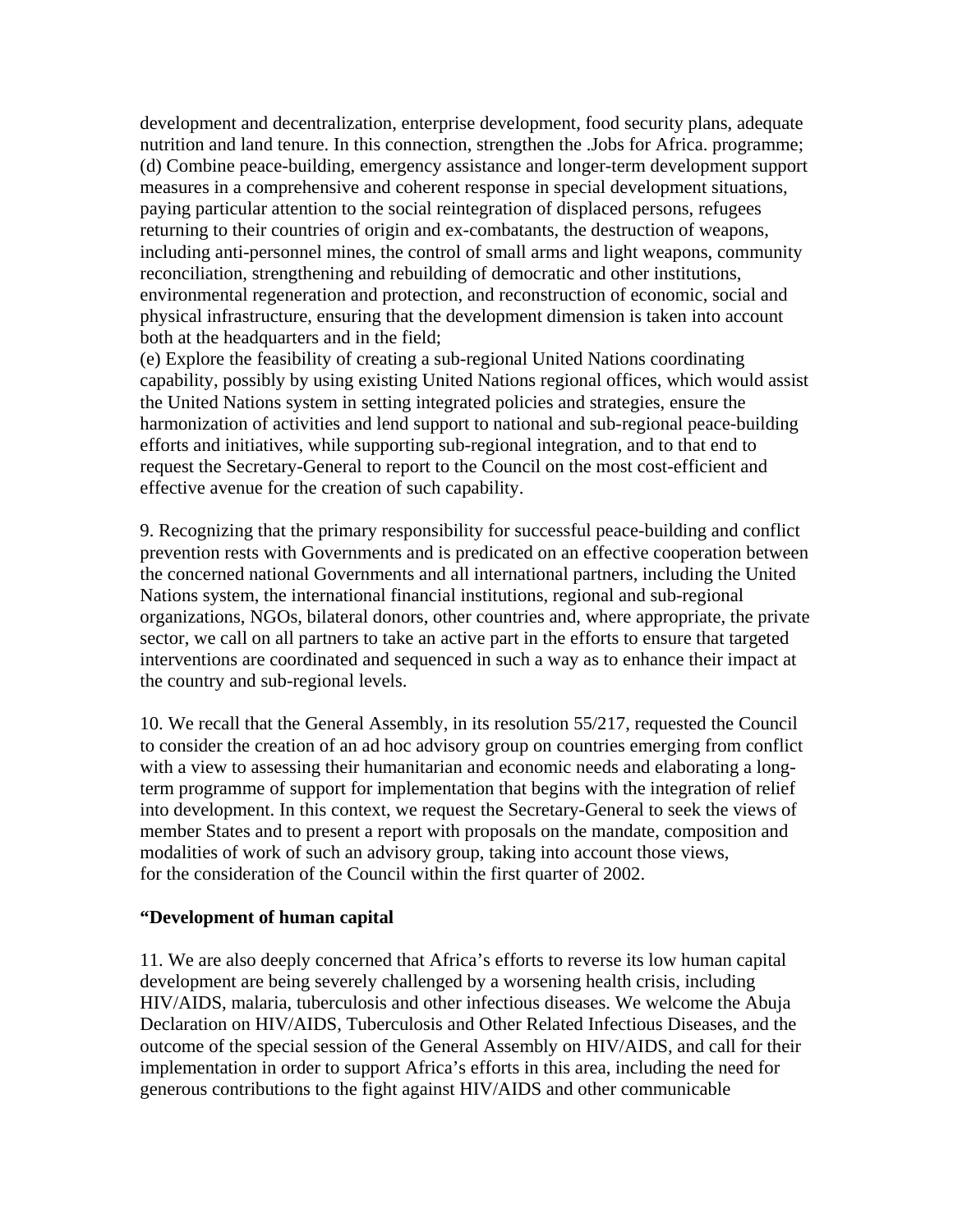development and decentralization, enterprise development, food security plans, adequate nutrition and land tenure. In this connection, strengthen the .Jobs for Africa. programme; (d) Combine peace-building, emergency assistance and longer-term development support measures in a comprehensive and coherent response in special development situations, paying particular attention to the social reintegration of displaced persons, refugees returning to their countries of origin and ex-combatants, the destruction of weapons, including anti-personnel mines, the control of small arms and light weapons, community reconciliation, strengthening and rebuilding of democratic and other institutions, environmental regeneration and protection, and reconstruction of economic, social and physical infrastructure, ensuring that the development dimension is taken into account both at the headquarters and in the field;

(e) Explore the feasibility of creating a sub-regional United Nations coordinating capability, possibly by using existing United Nations regional offices, which would assist the United Nations system in setting integrated policies and strategies, ensure the harmonization of activities and lend support to national and sub-regional peace-building efforts and initiatives, while supporting sub-regional integration, and to that end to request the Secretary-General to report to the Council on the most cost-efficient and effective avenue for the creation of such capability.

9. Recognizing that the primary responsibility for successful peace-building and conflict prevention rests with Governments and is predicated on an effective cooperation between the concerned national Governments and all international partners, including the United Nations system, the international financial institutions, regional and sub-regional organizations, NGOs, bilateral donors, other countries and, where appropriate, the private sector, we call on all partners to take an active part in the efforts to ensure that targeted interventions are coordinated and sequenced in such a way as to enhance their impact at the country and sub-regional levels.

10. We recall that the General Assembly, in its resolution 55/217, requested the Council to consider the creation of an ad hoc advisory group on countries emerging from conflict with a view to assessing their humanitarian and economic needs and elaborating a longterm programme of support for implementation that begins with the integration of relief into development. In this context, we request the Secretary-General to seek the views of member States and to present a report with proposals on the mandate, composition and modalities of work of such an advisory group, taking into account those views, for the consideration of the Council within the first quarter of 2002.

### **"Development of human capital**

11. We are also deeply concerned that Africa's efforts to reverse its low human capital development are being severely challenged by a worsening health crisis, including HIV/AIDS, malaria, tuberculosis and other infectious diseases. We welcome the Abuja Declaration on HIV/AIDS, Tuberculosis and Other Related Infectious Diseases, and the outcome of the special session of the General Assembly on HIV/AIDS, and call for their implementation in order to support Africa's efforts in this area, including the need for generous contributions to the fight against HIV/AIDS and other communicable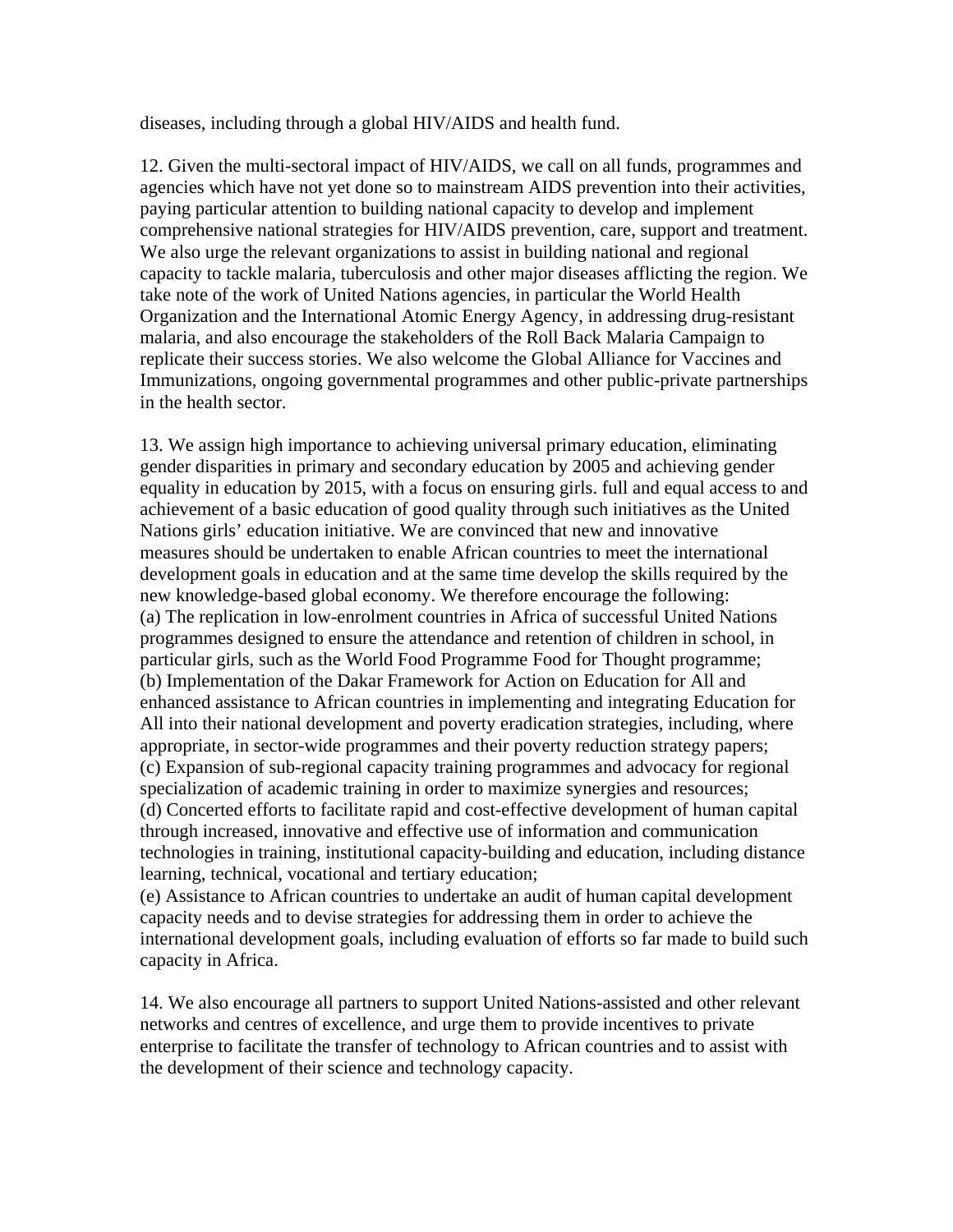diseases, including through a global HIV/AIDS and health fund.

12. Given the multi-sectoral impact of HIV/AIDS, we call on all funds, programmes and agencies which have not yet done so to mainstream AIDS prevention into their activities, paying particular attention to building national capacity to develop and implement comprehensive national strategies for HIV/AIDS prevention, care, support and treatment. We also urge the relevant organizations to assist in building national and regional capacity to tackle malaria, tuberculosis and other major diseases afflicting the region. We take note of the work of United Nations agencies, in particular the World Health Organization and the International Atomic Energy Agency, in addressing drug-resistant malaria, and also encourage the stakeholders of the Roll Back Malaria Campaign to replicate their success stories. We also welcome the Global Alliance for Vaccines and Immunizations, ongoing governmental programmes and other public-private partnerships in the health sector.

13. We assign high importance to achieving universal primary education, eliminating gender disparities in primary and secondary education by 2005 and achieving gender equality in education by 2015, with a focus on ensuring girls. full and equal access to and achievement of a basic education of good quality through such initiatives as the United Nations girls' education initiative. We are convinced that new and innovative measures should be undertaken to enable African countries to meet the international development goals in education and at the same time develop the skills required by the new knowledge-based global economy. We therefore encourage the following: (a) The replication in low-enrolment countries in Africa of successful United Nations programmes designed to ensure the attendance and retention of children in school, in particular girls, such as the World Food Programme Food for Thought programme; (b) Implementation of the Dakar Framework for Action on Education for All and enhanced assistance to African countries in implementing and integrating Education for All into their national development and poverty eradication strategies, including, where appropriate, in sector-wide programmes and their poverty reduction strategy papers; (c) Expansion of sub-regional capacity training programmes and advocacy for regional specialization of academic training in order to maximize synergies and resources; (d) Concerted efforts to facilitate rapid and cost-effective development of human capital through increased, innovative and effective use of information and communication technologies in training, institutional capacity-building and education, including distance learning, technical, vocational and tertiary education;

(e) Assistance to African countries to undertake an audit of human capital development capacity needs and to devise strategies for addressing them in order to achieve the international development goals, including evaluation of efforts so far made to build such capacity in Africa.

14. We also encourage all partners to support United Nations-assisted and other relevant networks and centres of excellence, and urge them to provide incentives to private enterprise to facilitate the transfer of technology to African countries and to assist with the development of their science and technology capacity.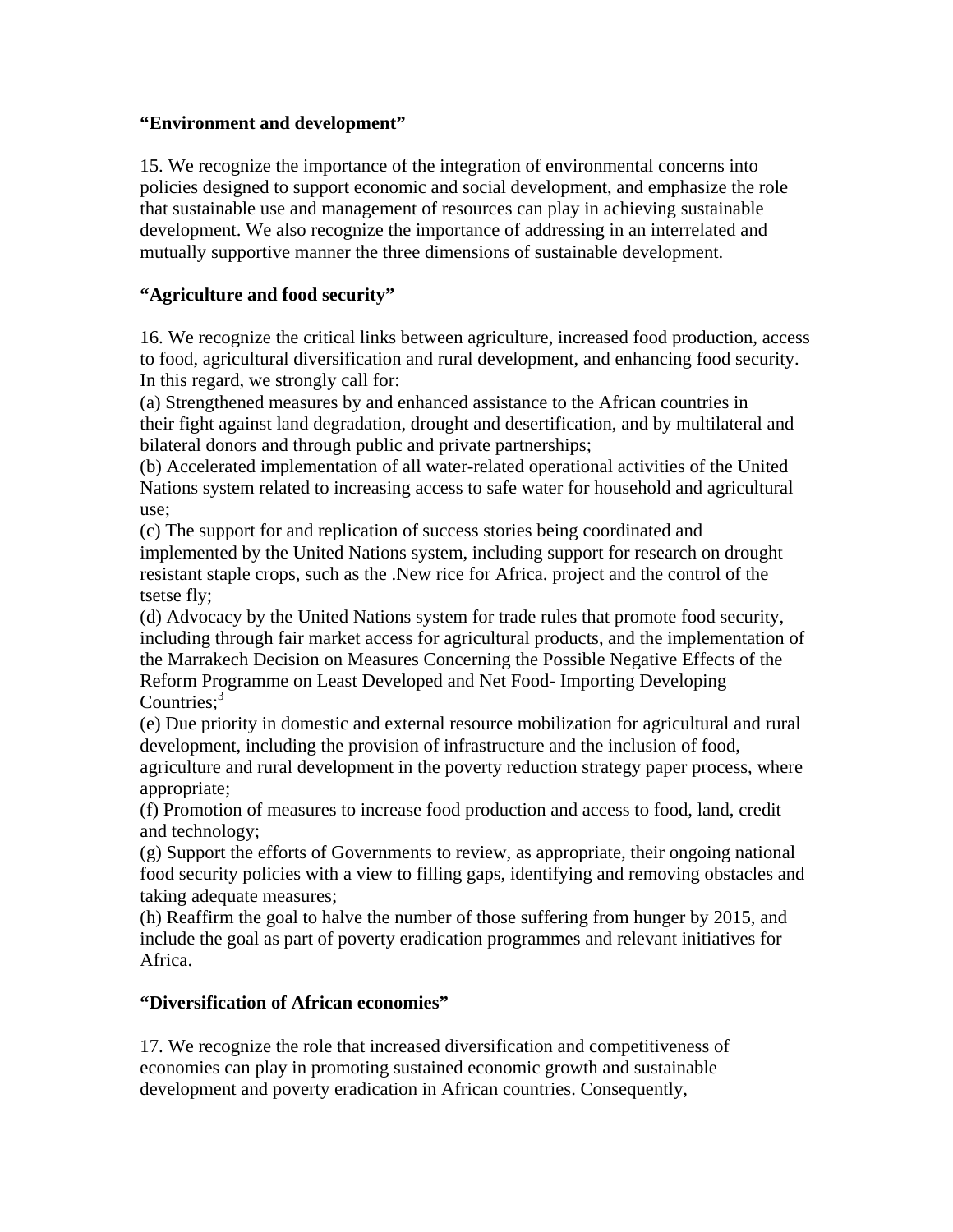# **"Environment and development"**

15. We recognize the importance of the integration of environmental concerns into policies designed to support economic and social development, and emphasize the role that sustainable use and management of resources can play in achieving sustainable development. We also recognize the importance of addressing in an interrelated and mutually supportive manner the three dimensions of sustainable development.

# **"Agriculture and food security"**

16. We recognize the critical links between agriculture, increased food production, access to food, agricultural diversification and rural development, and enhancing food security. In this regard, we strongly call for:

(a) Strengthened measures by and enhanced assistance to the African countries in their fight against land degradation, drought and desertification, and by multilateral and bilateral donors and through public and private partnerships;

(b) Accelerated implementation of all water-related operational activities of the United Nations system related to increasing access to safe water for household and agricultural use;

(c) The support for and replication of success stories being coordinated and implemented by the United Nations system, including support for research on drought resistant staple crops, such as the .New rice for Africa. project and the control of the tsetse fly;

(d) Advocacy by the United Nations system for trade rules that promote food security, including through fair market access for agricultural products, and the implementation of the Marrakech Decision on Measures Concerning the Possible Negative Effects of the Reform Programme on Least Developed and Net Food- Importing Developing Countries: $3<sup>3</sup>$ 

(e) Due priority in domestic and external resource mobilization for agricultural and rural development, including the provision of infrastructure and the inclusion of food, agriculture and rural development in the poverty reduction strategy paper process, where appropriate;

(f) Promotion of measures to increase food production and access to food, land, credit and technology;

(g) Support the efforts of Governments to review, as appropriate, their ongoing national food security policies with a view to filling gaps, identifying and removing obstacles and taking adequate measures;

(h) Reaffirm the goal to halve the number of those suffering from hunger by 2015, and include the goal as part of poverty eradication programmes and relevant initiatives for Africa.

# **"Diversification of African economies"**

17. We recognize the role that increased diversification and competitiveness of economies can play in promoting sustained economic growth and sustainable development and poverty eradication in African countries. Consequently,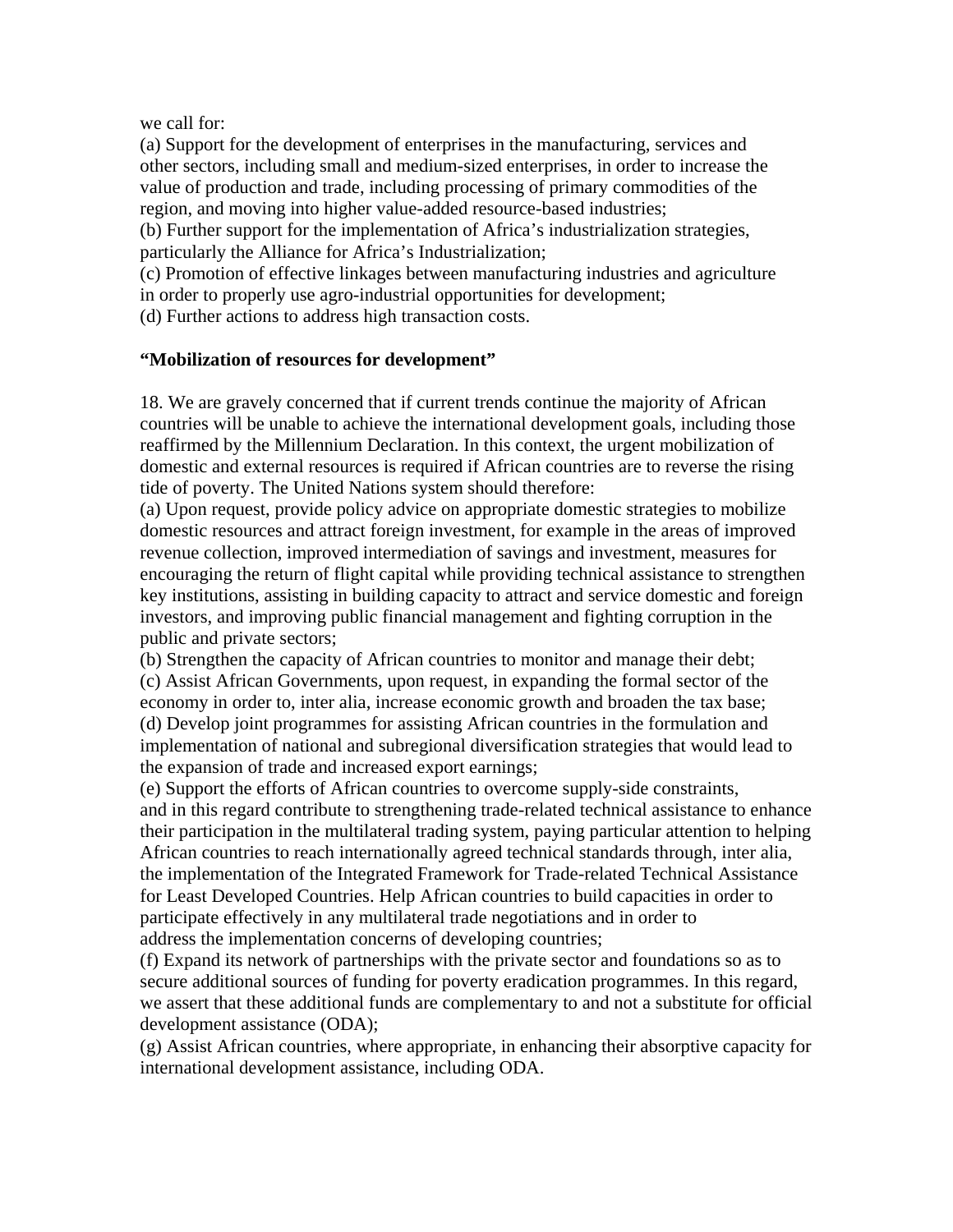we call for:

(a) Support for the development of enterprises in the manufacturing, services and other sectors, including small and medium-sized enterprises, in order to increase the value of production and trade, including processing of primary commodities of the region, and moving into higher value-added resource-based industries;

(b) Further support for the implementation of Africa's industrialization strategies, particularly the Alliance for Africa's Industrialization;

(c) Promotion of effective linkages between manufacturing industries and agriculture in order to properly use agro-industrial opportunities for development;

(d) Further actions to address high transaction costs.

### **"Mobilization of resources for development"**

18. We are gravely concerned that if current trends continue the majority of African countries will be unable to achieve the international development goals, including those reaffirmed by the Millennium Declaration. In this context, the urgent mobilization of domestic and external resources is required if African countries are to reverse the rising tide of poverty. The United Nations system should therefore:

(a) Upon request, provide policy advice on appropriate domestic strategies to mobilize domestic resources and attract foreign investment, for example in the areas of improved revenue collection, improved intermediation of savings and investment, measures for encouraging the return of flight capital while providing technical assistance to strengthen key institutions, assisting in building capacity to attract and service domestic and foreign investors, and improving public financial management and fighting corruption in the public and private sectors;

(b) Strengthen the capacity of African countries to monitor and manage their debt; (c) Assist African Governments, upon request, in expanding the formal sector of the economy in order to, inter alia, increase economic growth and broaden the tax base; (d) Develop joint programmes for assisting African countries in the formulation and implementation of national and subregional diversification strategies that would lead to the expansion of trade and increased export earnings;

(e) Support the efforts of African countries to overcome supply-side constraints, and in this regard contribute to strengthening trade-related technical assistance to enhance their participation in the multilateral trading system, paying particular attention to helping African countries to reach internationally agreed technical standards through, inter alia, the implementation of the Integrated Framework for Trade-related Technical Assistance for Least Developed Countries. Help African countries to build capacities in order to participate effectively in any multilateral trade negotiations and in order to address the implementation concerns of developing countries;

(f) Expand its network of partnerships with the private sector and foundations so as to secure additional sources of funding for poverty eradication programmes. In this regard, we assert that these additional funds are complementary to and not a substitute for official development assistance (ODA);

(g) Assist African countries, where appropriate, in enhancing their absorptive capacity for international development assistance, including ODA.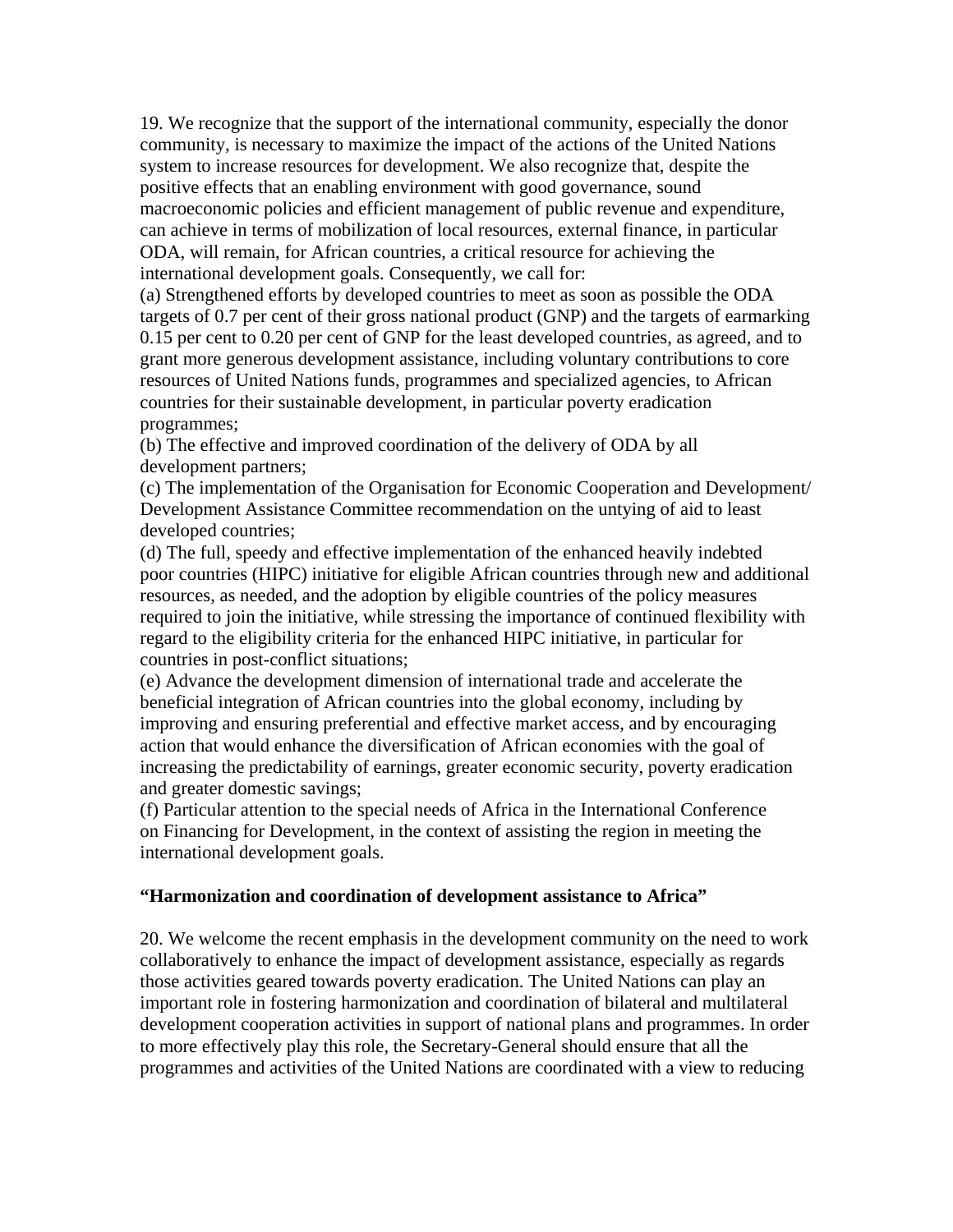19. We recognize that the support of the international community, especially the donor community, is necessary to maximize the impact of the actions of the United Nations system to increase resources for development. We also recognize that, despite the positive effects that an enabling environment with good governance, sound macroeconomic policies and efficient management of public revenue and expenditure, can achieve in terms of mobilization of local resources, external finance, in particular ODA, will remain, for African countries, a critical resource for achieving the international development goals. Consequently, we call for:

(a) Strengthened efforts by developed countries to meet as soon as possible the ODA targets of 0.7 per cent of their gross national product (GNP) and the targets of earmarking 0.15 per cent to 0.20 per cent of GNP for the least developed countries, as agreed, and to grant more generous development assistance, including voluntary contributions to core resources of United Nations funds, programmes and specialized agencies, to African countries for their sustainable development, in particular poverty eradication programmes;

(b) The effective and improved coordination of the delivery of ODA by all development partners;

(c) The implementation of the Organisation for Economic Cooperation and Development/ Development Assistance Committee recommendation on the untying of aid to least developed countries;

(d) The full, speedy and effective implementation of the enhanced heavily indebted poor countries (HIPC) initiative for eligible African countries through new and additional resources, as needed, and the adoption by eligible countries of the policy measures required to join the initiative, while stressing the importance of continued flexibility with regard to the eligibility criteria for the enhanced HIPC initiative, in particular for countries in post-conflict situations;

(e) Advance the development dimension of international trade and accelerate the beneficial integration of African countries into the global economy, including by improving and ensuring preferential and effective market access, and by encouraging action that would enhance the diversification of African economies with the goal of increasing the predictability of earnings, greater economic security, poverty eradication and greater domestic savings;

(f) Particular attention to the special needs of Africa in the International Conference on Financing for Development, in the context of assisting the region in meeting the international development goals.

### **"Harmonization and coordination of development assistance to Africa"**

20. We welcome the recent emphasis in the development community on the need to work collaboratively to enhance the impact of development assistance, especially as regards those activities geared towards poverty eradication. The United Nations can play an important role in fostering harmonization and coordination of bilateral and multilateral development cooperation activities in support of national plans and programmes. In order to more effectively play this role, the Secretary-General should ensure that all the programmes and activities of the United Nations are coordinated with a view to reducing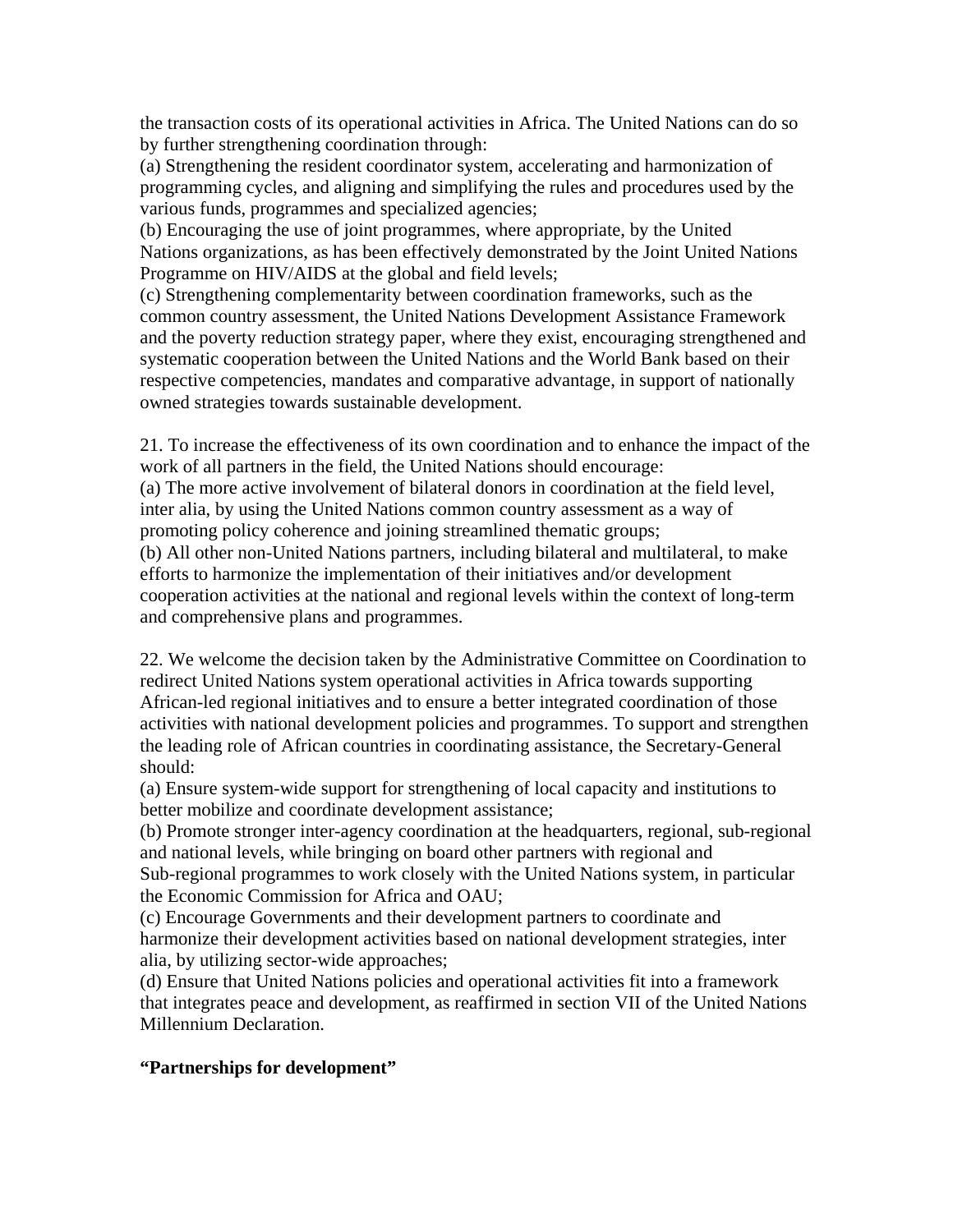the transaction costs of its operational activities in Africa. The United Nations can do so by further strengthening coordination through:

(a) Strengthening the resident coordinator system, accelerating and harmonization of programming cycles, and aligning and simplifying the rules and procedures used by the various funds, programmes and specialized agencies;

(b) Encouraging the use of joint programmes, where appropriate, by the United Nations organizations, as has been effectively demonstrated by the Joint United Nations Programme on HIV/AIDS at the global and field levels;

(c) Strengthening complementarity between coordination frameworks, such as the common country assessment, the United Nations Development Assistance Framework and the poverty reduction strategy paper, where they exist, encouraging strengthened and systematic cooperation between the United Nations and the World Bank based on their respective competencies, mandates and comparative advantage, in support of nationally owned strategies towards sustainable development.

21. To increase the effectiveness of its own coordination and to enhance the impact of the work of all partners in the field, the United Nations should encourage:

(a) The more active involvement of bilateral donors in coordination at the field level, inter alia, by using the United Nations common country assessment as a way of promoting policy coherence and joining streamlined thematic groups;

(b) All other non-United Nations partners, including bilateral and multilateral, to make efforts to harmonize the implementation of their initiatives and/or development cooperation activities at the national and regional levels within the context of long-term and comprehensive plans and programmes.

22. We welcome the decision taken by the Administrative Committee on Coordination to redirect United Nations system operational activities in Africa towards supporting African-led regional initiatives and to ensure a better integrated coordination of those activities with national development policies and programmes. To support and strengthen the leading role of African countries in coordinating assistance, the Secretary-General should:

(a) Ensure system-wide support for strengthening of local capacity and institutions to better mobilize and coordinate development assistance;

(b) Promote stronger inter-agency coordination at the headquarters, regional, sub-regional and national levels, while bringing on board other partners with regional and Sub-regional programmes to work closely with the United Nations system, in particular the Economic Commission for Africa and OAU;

(c) Encourage Governments and their development partners to coordinate and harmonize their development activities based on national development strategies, inter alia, by utilizing sector-wide approaches;

(d) Ensure that United Nations policies and operational activities fit into a framework that integrates peace and development, as reaffirmed in section VII of the United Nations Millennium Declaration.

### **"Partnerships for development"**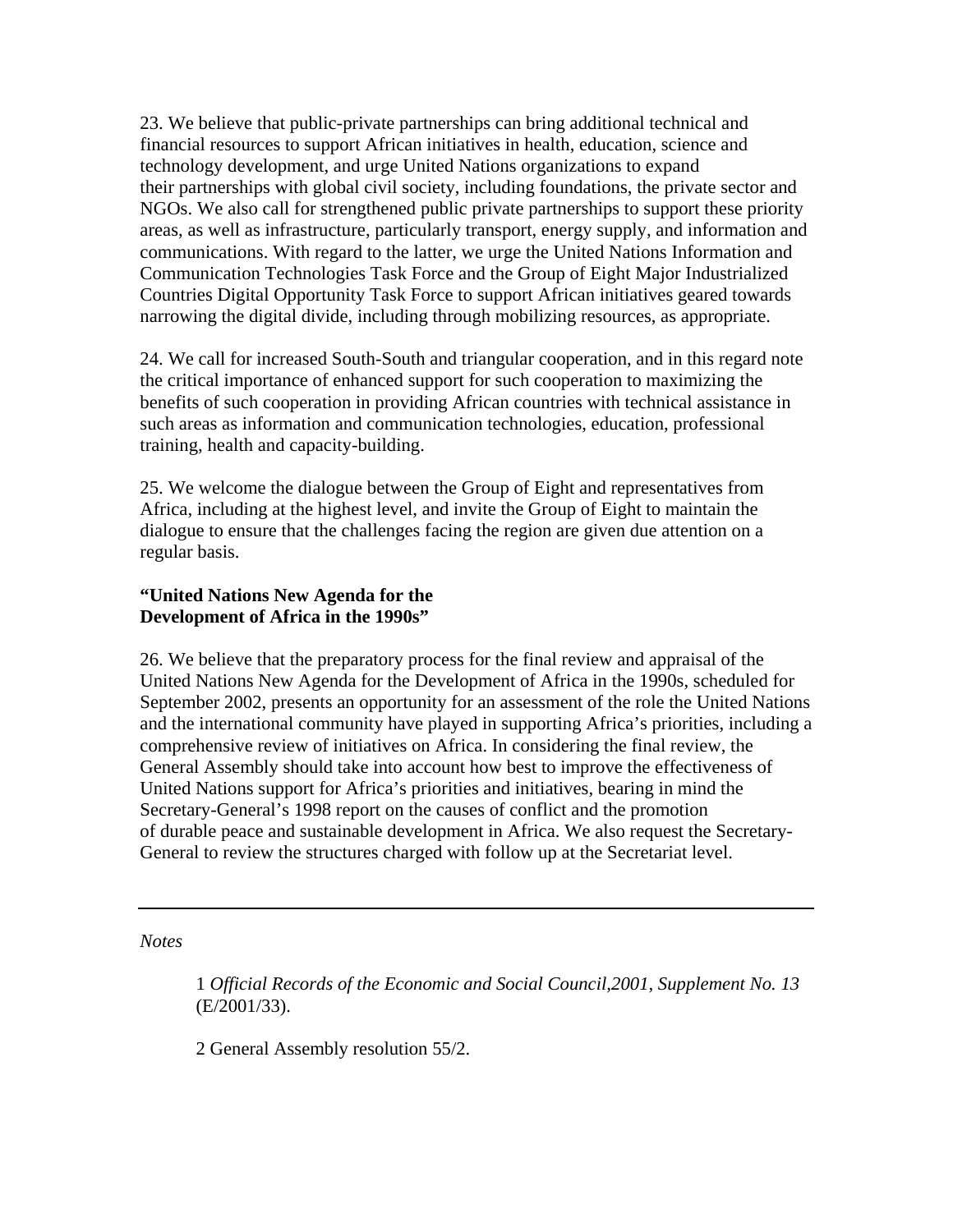23. We believe that public-private partnerships can bring additional technical and financial resources to support African initiatives in health, education, science and technology development, and urge United Nations organizations to expand their partnerships with global civil society, including foundations, the private sector and NGOs. We also call for strengthened public private partnerships to support these priority areas, as well as infrastructure, particularly transport, energy supply, and information and communications. With regard to the latter, we urge the United Nations Information and Communication Technologies Task Force and the Group of Eight Major Industrialized Countries Digital Opportunity Task Force to support African initiatives geared towards narrowing the digital divide, including through mobilizing resources, as appropriate.

24. We call for increased South-South and triangular cooperation, and in this regard note the critical importance of enhanced support for such cooperation to maximizing the benefits of such cooperation in providing African countries with technical assistance in such areas as information and communication technologies, education, professional training, health and capacity-building.

25. We welcome the dialogue between the Group of Eight and representatives from Africa, including at the highest level, and invite the Group of Eight to maintain the dialogue to ensure that the challenges facing the region are given due attention on a regular basis.

# **"United Nations New Agenda for the Development of Africa in the 1990s"**

26. We believe that the preparatory process for the final review and appraisal of the United Nations New Agenda for the Development of Africa in the 1990s, scheduled for September 2002, presents an opportunity for an assessment of the role the United Nations and the international community have played in supporting Africa's priorities, including a comprehensive review of initiatives on Africa. In considering the final review, the General Assembly should take into account how best to improve the effectiveness of United Nations support for Africa's priorities and initiatives, bearing in mind the Secretary-General's 1998 report on the causes of conflict and the promotion of durable peace and sustainable development in Africa. We also request the Secretary-General to review the structures charged with follow up at the Secretariat level.

*Notes* 

1 *Official Records of the Economic and Social Council,2001, Supplement No. 13*  (E/2001/33).

2 General Assembly resolution 55/2.